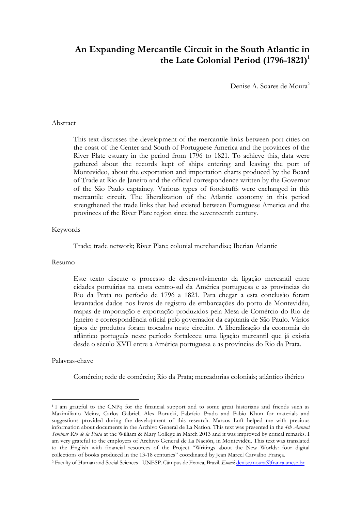# **An Expanding Mercantile Circuit in the South Atlantic in**  the Late Colonial Period (1796-1821)<sup>1</sup>

Denise A. Soares de Moura<sup>2</sup>

### Abstract

This text discusses the development of the mercantile links between port cities on the coast of the Center and South of Portuguese America and the provinces of the River Plate estuary in the period from 1796 to 1821. To achieve this, data were gathered about the records kept of ships entering and leaving the port of Montevideo, about the exportation and importation charts produced by the Board of Trade at Rio de Janeiro and the official correspondence written by the Governor of the São Paulo captaincy. Various types of foodstuffs were exchanged in this mercantile circuit. The liberalization of the Atlantic economy in this period strengthened the trade links that had existed between Portuguese America and the provinces of the River Plate region since the seventeenth century.

#### Keywords

Trade; trade network; River Plate; colonial merchandise; Iberian Atlantic

#### Resumo

Este texto discute o processo de desenvolvimento da ligação mercantil entre cidades portuárias na costa centro-sul da América portuguesa e as províncias do Rio da Prata no período de 1796 a 1821. Para chegar a esta conclusão foram levantados dados nos livros de registro de embarcações do porto de Montevidéu, mapas de importação e exportação produzidos pela Mesa de Comércio do Rio de Janeiro e correspondência oficial pelo governador da capitania de São Paulo. Vários tipos de produtos foram trocados neste circuito. A liberalização da economia do atlântico português neste período fortaleceu uma ligação mercantil que já existia desde o século XVII entre a América portuguesa e as províncias do Rio da Prata.

#### Palavras-chave

 $\overline{a}$ 

Comércio; rede de comércio; Rio da Prata; mercadorias coloniais; atlântico ibérico

<sup>1</sup> I am grateful to the CNPq for the financial support and to some great historians and friends such as Maximiliano Meinz, Carlos Gabriel, Alex Borucki, Fabrício Prado and Fabio Khun for materials and suggestions provided during the development of this research. Marcos Luft helped me with precious information about documents in the Archivo General de La Nation. This text was presented in the *4th Annual Seminar Rio de la Plata* at the William & Mary College in March 2013 and it was improved by critical remarks. I am very grateful to the employers of Archivo General de La Nación, in Montevidéu. This text was translated to the English with financial resources of the Project "Writings about the New Worlds: four digital collections of books produced in the 13-18 centuries" coordinated by Jean Marcel Carvalho França.

<sup>2</sup> Faculty of Human and Social Sciences - UNESP. Câmpus de Franca, Brazil. *Email*: denise.moura@franca.unesp.br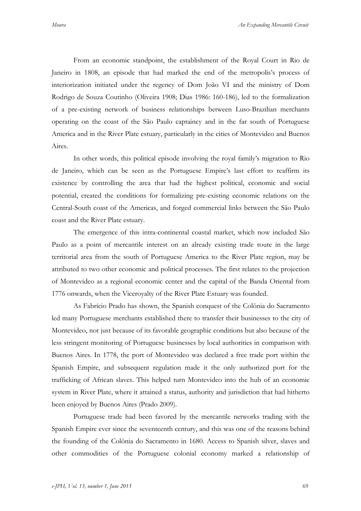From an economic standpoint, the establishment of the Royal Court in Rio de Janeiro in 1808, an episode that had marked the end of the metropolis's process of interiorization initiated under the regency of Dom João VI and the ministry of Dom Rodrigo de Souza Coutinho (Oliveira 1908; Dias 1986: 160-186), led to the formalization of a pre-existing network of business relationships between Luso-Brazilian merchants operating on the coast of the São Paulo captaincy and in the far south of Portuguese America and in the River Plate estuary, particularly in the cities of Montevideo and Buenos Aires.

In other words, this political episode involving the royal family's migration to Rio de Janeiro, which can be seen as the Portuguese Empire's last effort to reaffirm its existence by controlling the area that had the highest political, economic and social potential, created the conditions for formalizing pre-existing economic relations on the Central-South coast of the Americas, and forged commercial links between the São Paulo coast and the River Plate estuary.

The emergence of this intra-continental coastal market, which now included São Paulo as a point of mercantile interest on an already existing trade route in the large territorial area from the south of Portuguese America to the River Plate region, may be attributed to two other economic and political processes. The first relates to the projection of Montevideo as a regional economic center and the capital of the Banda Oriental from 1776 onwards, when the Viceroyalty of the River Plate Estuary was founded.

As Fabrício Prado has shown, the Spanish conquest of the Colônia do Sacramento led many Portuguese merchants established there to transfer their businesses to the city of Montevideo, not just because of its favorable geographic conditions but also because of the less stringent monitoring of Portuguese businesses by local authorities in comparison with Buenos Aires. In 1778, the port of Montevideo was declared a free trade port within the Spanish Empire, and subsequent regulation made it the only authorized port for the trafficking of African slaves. This helped turn Montevideo into the hub of an economic system in River Plate, where it attained a status, authority and jurisdiction that had hitherto been enjoyed by Buenos Aires (Prado 2009).

Portuguese trade had been favored by the mercantile networks trading with the Spanish Empire ever since the seventeenth century, and this was one of the reasons behind the founding of the Colônia do Sacramento in 1680. Access to Spanish silver, slaves and other commodities of the Portuguese colonial economy marked a relationship of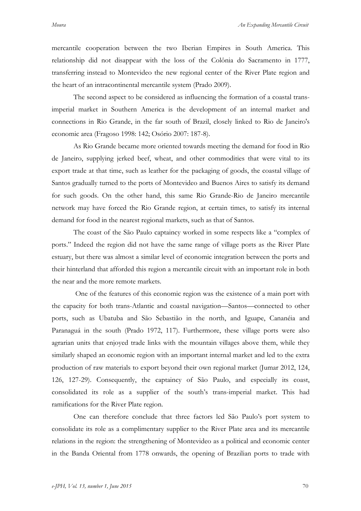mercantile cooperation between the two Iberian Empires in South America. This relationship did not disappear with the loss of the Colônia do Sacramento in 1777, transferring instead to Montevideo the new regional center of the River Plate region and the heart of an intracontinental mercantile system (Prado 2009).

The second aspect to be considered as influencing the formation of a coastal transimperial market in Southern America is the development of an internal market and connections in Rio Grande, in the far south of Brazil, closely linked to Rio de Janeiro's economic area (Fragoso 1998: 142; Osório 2007: 187-8).

As Rio Grande became more oriented towards meeting the demand for food in Rio de Janeiro, supplying jerked beef, wheat, and other commodities that were vital to its export trade at that time, such as leather for the packaging of goods, the coastal village of Santos gradually turned to the ports of Montevideo and Buenos Aires to satisfy its demand for such goods. On the other hand, this same Rio Grande-Rio de Janeiro mercantile network may have forced the Rio Grande region, at certain times, to satisfy its internal demand for food in the nearest regional markets, such as that of Santos.

The coast of the São Paulo captaincy worked in some respects like a "complex of ports." Indeed the region did not have the same range of village ports as the River Plate estuary, but there was almost a similar level of economic integration between the ports and their hinterland that afforded this region a mercantile circuit with an important role in both the near and the more remote markets.

One of the features of this economic region was the existence of a main port with the capacity for both trans-Atlantic and coastal navigation—Santos—connected to other ports, such as Ubatuba and São Sebastião in the north, and Iguape, Cananéia and Paranaguá in the south (Prado 1972, 117). Furthermore, these village ports were also agrarian units that enjoyed trade links with the mountain villages above them, while they similarly shaped an economic region with an important internal market and led to the extra production of raw materials to export beyond their own regional market (Jumar 2012, 124, 126, 127-29). Consequently, the captaincy of São Paulo, and especially its coast, consolidated its role as a supplier of the south's trans-imperial market. This had ramifications for the River Plate region.

One can therefore conclude that three factors led São Paulo's port system to consolidate its role as a complimentary supplier to the River Plate area and its mercantile relations in the region: the strengthening of Montevideo as a political and economic center in the Banda Oriental from 1778 onwards, the opening of Brazilian ports to trade with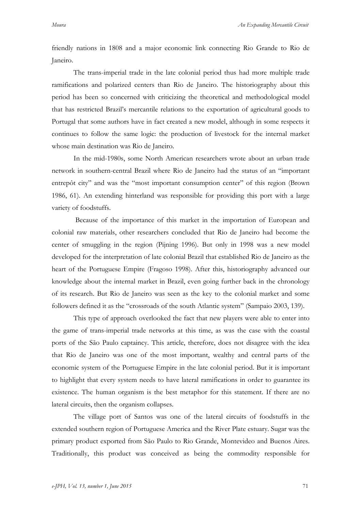friendly nations in 1808 and a major economic link connecting Rio Grande to Rio de Janeiro.

The trans-imperial trade in the late colonial period thus had more multiple trade ramifications and polarized centers than Rio de Janeiro. The historiography about this period has been so concerned with criticizing the theoretical and methodological model that has restricted Brazil's mercantile relations to the exportation of agricultural goods to Portugal that some authors have in fact created a new model, although in some respects it continues to follow the same logic: the production of livestock for the internal market whose main destination was Rio de Janeiro.

In the mid-1980s, some North American researchers wrote about an urban trade network in southern-central Brazil where Rio de Janeiro had the status of an "important entrepôt city" and was the "most important consumption center" of this region (Brown 1986, 61). An extending hinterland was responsible for providing this port with a large variety of foodstuffs.

Because of the importance of this market in the importation of European and colonial raw materials, other researchers concluded that Rio de Janeiro had become the center of smuggling in the region (Pijning 1996). But only in 1998 was a new model developed for the interpretation of late colonial Brazil that established Rio de Janeiro as the heart of the Portuguese Empire (Fragoso 1998). After this, historiography advanced our knowledge about the internal market in Brazil, even going further back in the chronology of its research. But Rio de Janeiro was seen as the key to the colonial market and some followers defined it as the "crossroads of the south Atlantic system" (Sampaio 2003, 139).

This type of approach overlooked the fact that new players were able to enter into the game of trans-imperial trade networks at this time, as was the case with the coastal ports of the São Paulo captaincy. This article, therefore, does not disagree with the idea that Rio de Janeiro was one of the most important, wealthy and central parts of the economic system of the Portuguese Empire in the late colonial period. But it is important to highlight that every system needs to have lateral ramifications in order to guarantee its existence. The human organism is the best metaphor for this statement. If there are no lateral circuits, then the organism collapses.

The village port of Santos was one of the lateral circuits of foodstuffs in the extended southern region of Portuguese America and the River Plate estuary. Sugar was the primary product exported from São Paulo to Rio Grande, Montevideo and Buenos Aires. Traditionally, this product was conceived as being the commodity responsible for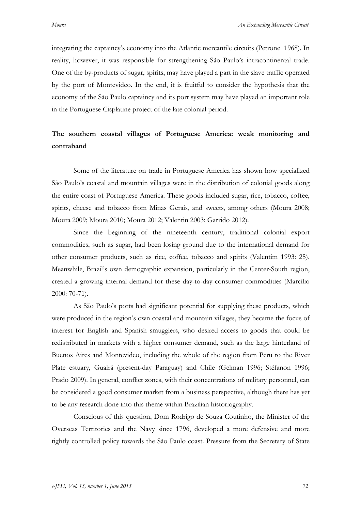integrating the captaincy's economy into the Atlantic mercantile circuits (Petrone 1968). In reality, however, it was responsible for strengthening São Paulo's intracontinental trade. One of the by-products of sugar, spirits, may have played a part in the slave traffic operated by the port of Montevideo. In the end, it is fruitful to consider the hypothesis that the economy of the São Paulo captaincy and its port system may have played an important role in the Portuguese Cisplatine project of the late colonial period.

# **The southern coastal villages of Portuguese America: weak monitoring and contraband**

Some of the literature on trade in Portuguese America has shown how specialized São Paulo's coastal and mountain villages were in the distribution of colonial goods along the entire coast of Portuguese America. These goods included sugar, rice, tobacco, coffee, spirits, cheese and tobacco from Minas Gerais, and sweets, among others (Moura 2008; Moura 2009; Moura 2010; Moura 2012; Valentin 2003; Garrido 2012).

Since the beginning of the nineteenth century, traditional colonial export commodities, such as sugar, had been losing ground due to the international demand for other consumer products, such as rice, coffee, tobacco and spirits (Valentim 1993: 25). Meanwhile, Brazil's own demographic expansion, particularly in the Center-South region, created a growing internal demand for these day-to-day consumer commodities (Marcílio 2000: 70-71).

As São Paulo's ports had significant potential for supplying these products, which were produced in the region's own coastal and mountain villages, they became the focus of interest for English and Spanish smugglers, who desired access to goods that could be redistributed in markets with a higher consumer demand, such as the large hinterland of Buenos Aires and Montevideo, including the whole of the region from Peru to the River Plate estuary, Guairá (present-day Paraguay) and Chile (Gelman 1996; Stéfanon 1996; Prado 2009). In general, conflict zones, with their concentrations of military personnel, can be considered a good consumer market from a business perspective, although there has yet to be any research done into this theme within Brazilian historiography.

Conscious of this question, Dom Rodrigo de Souza Coutinho, the Minister of the Overseas Territories and the Navy since 1796, developed a more defensive and more tightly controlled policy towards the São Paulo coast. Pressure from the Secretary of State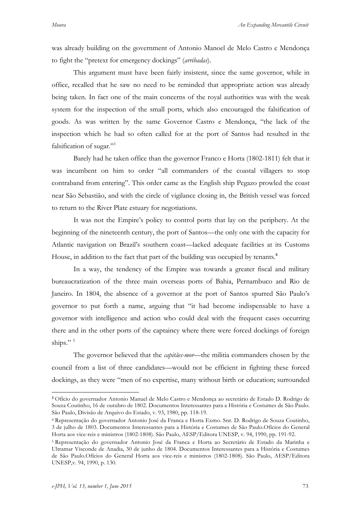was already building on the government of Antonio Manoel de Melo Castro e Mendonça to fight the "pretext for emergency dockings" (*arribadas*).

This argument must have been fairly insistent, since the same governor, while in office, recalled that he saw no need to be reminded that appropriate action was already being taken. In fact one of the main concerns of the royal authorities was with the weak system for the inspection of the small ports, which also encouraged the falsification of goods. As was written by the same Governor Castro e Mendonça, "the lack of the inspection which he had so often called for at the port of Santos had resulted in the falsification of sugar."<sup>3</sup>

Barely had he taken office than the governor Franco e Horta (1802-1811) felt that it was incumbent on him to order "all commanders of the coastal villagers to stop contraband from entering". This order came as the English ship Pegazo prowled the coast near São Sebastião, and with the circle of vigilance closing in, the British vessel was forced to return to the River Plate estuary for negotiations.

It was not the Empire's policy to control ports that lay on the periphery. At the beginning of the nineteenth century, the port of Santos—the only one with the capacity for Atlantic navigation on Brazil's southern coast—lacked adequate facilities at its Customs House, in addition to the fact that part of the building was occupied by tenants.**<sup>4</sup>**

In a way, the tendency of the Empire was towards a greater fiscal and military bureaucratization of the three main overseas ports of Bahia, Pernambuco and Rio de Janeiro. In 1804, the absence of a governor at the port of Santos spurred São Paulo's governor to put forth a name, arguing that "it had become indispensable to have a governor with intelligence and action who could deal with the frequent cases occurring there and in the other ports of the captaincy where there were forced dockings of foreign ships." $5$ 

The governor believed that the *capitães-mor*—the militia commanders chosen by the council from a list of three candidates—would not be efficient in fighting these forced dockings, as they were "men of no expertise, many without birth or education; surrounded

 $\overline{a}$ 

**<sup>3</sup>** Ofício do governador Antonio Manuel de Melo Castro e Mendonça ao secretário de Estado D. Rodrigo de Souza Coutinho, 16 de outubro de 1802. Documentos Interessantes para a História e Costumes de São Paulo. São Paulo, Divisão de Arquivo do Estado, v. 93, 1980, pp. 118-19.

<sup>4</sup> Representação do governador Antonio José da Franca e Horta Exmo. Snr. D. Rodrigo de Souza Coutinho, 3 de julho de 1803. Documentos Interessantes para a História e Costumes de São Paulo.Ofícios do General Horta aos vice-reis e ministros (1802-1808). São Paulo, AESP/Editora UNESP, v. 94, 1990, pp. 191-92.

<sup>5</sup> Representação do governador Antonio José da Franca e Horta ao Secretário de Estado da Marinha e Ultramar Visconde de Anadia, 30 de junho de 1804. Documentos Interessantes para a História e Costumes de São Paulo.Ofícios do General Horta aos vice-reis e ministros (1802-1808). São Paulo, AESP/Editora UNESP,v. 94, 1990, p. 130.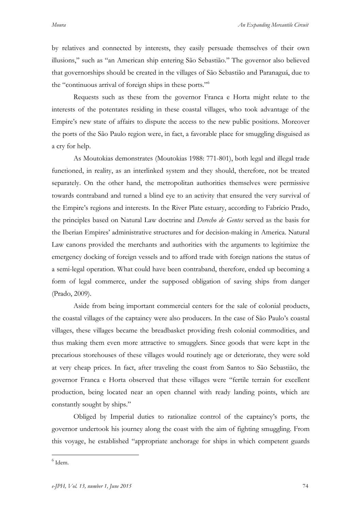by relatives and connected by interests, they easily persuade themselves of their own illusions," such as "an American ship entering São Sebastião." The governor also believed that governorships should be created in the villages of São Sebastião and Paranaguá, due to the "continuous arrival of foreign ships in these ports."6

Requests such as these from the governor Franca e Horta might relate to the interests of the potentates residing in these coastal villages, who took advantage of the Empire's new state of affairs to dispute the access to the new public positions. Moreover the ports of the São Paulo region were, in fact, a favorable place for smuggling disguised as a cry for help.

As Moutokias demonstrates (Moutokias 1988: 771-801), both legal and illegal trade functioned, in reality, as an interlinked system and they should, therefore, not be treated separately. On the other hand, the metropolitan authorities themselves were permissive towards contraband and turned a blind eye to an activity that ensured the very survival of the Empire's regions and interests. In the River Plate estuary, according to Fabrício Prado, the principles based on Natural Law doctrine and *Derecho de Gentes* served as the basis for the Iberian Empires' administrative structures and for decision-making in America. Natural Law canons provided the merchants and authorities with the arguments to legitimize the emergency docking of foreign vessels and to afford trade with foreign nations the status of a semi-legal operation. What could have been contraband, therefore, ended up becoming a form of legal commerce, under the supposed obligation of saving ships from danger (Prado, 2009).

Aside from being important commercial centers for the sale of colonial products, the coastal villages of the captaincy were also producers. In the case of São Paulo's coastal villages, these villages became the breadbasket providing fresh colonial commodities, and thus making them even more attractive to smugglers. Since goods that were kept in the precarious storehouses of these villages would routinely age or deteriorate, they were sold at very cheap prices. In fact, after traveling the coast from Santos to São Sebastião, the governor Franca e Horta observed that these villages were "fertile terrain for excellent production, being located near an open channel with ready landing points, which are constantly sought by ships."

Obliged by Imperial duties to rationalize control of the captaincy's ports, the governor undertook his journey along the coast with the aim of fighting smuggling. From this voyage, he established "appropriate anchorage for ships in which competent guards

 $<sup>6</sup>$  Idem.</sup>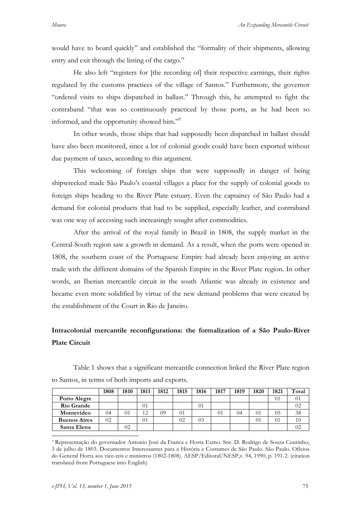would have to board quickly" and established the "formality of their shipments, allowing entry and exit through the listing of the cargo."

He also left "registers for [the recording of] their respective earnings, their rights regulated by the customs practices of the village of Santos." Furthermore, the governor "ordered visits to ships dispatched in ballast." Through this, he attempted to fight the contraband "that was so continuously practiced by those ports, as he had been so informed, and the opportunity showed him."**<sup>7</sup>**

In other words, those ships that had supposedly been dispatched in ballast should have also been monitored, since a lot of colonial goods could have been exported without due payment of taxes, according to this argument.

This welcoming of foreign ships that were supposedly in danger of being shipwrecked made São Paulo's coastal villages a place for the supply of colonial goods to foreign ships heading to the River Plate estuary. Even the captaincy of São Paulo had a demand for colonial products that had to be supplied, especially leather, and contraband was one way of accessing such increasingly sought after commodities.

After the arrival of the royal family in Brazil in 1808, the supply market in the Central-South region saw a growth in demand. As a result, when the ports were opened in 1808, the southern coast of the Portuguese Empire had already been enjoying an active trade with the different domains of the Spanish Empire in the River Plate region. In other words, an Iberian mercantile circuit in the south Atlantic was already in existence and became even more solidified by virtue of the new demand problems that were created by the establishment of the Court in Rio de Janeiro.

# **Intracolonial mercantile reconfigurations: the formalization of a São Paulo-River Plate Circuit**

|                     | 1808 | 1810 | 1811 | 1812 | 1815 | 1816 | 1817 | 1819 | 1820 | 1821     | Total   |
|---------------------|------|------|------|------|------|------|------|------|------|----------|---------|
| Porto Alegre        |      |      |      |      |      |      |      |      |      | $\Omega$ |         |
| Rio Grande          |      |      | 01   |      |      | 01   |      |      |      |          | 02      |
| Montevideo          | 04   | 01   | 1 2  | 09   | 91   |      | 01   | 04   | 01   | 05       | 38      |
| <b>Buenos Aires</b> | 02   |      | 01   |      | 02   | 03   |      |      | 01   | $^{01}$  | 10      |
| Santa Elena         |      | 02   |      |      |      |      |      |      |      |          | $^{02}$ |

Table 1 shows that a significant mercantile connection linked the River Plate region to Santos, in terms of both imports and exports.

 <sup>7</sup> Representação do governador Antonio José da Franca e Horta Exmo. Snr. D. Rodrigo de Souza Coutinho, 3 de julho de 1803. Documentos Interessantes para a História e Costumes de São Paulo. São Paulo. Ofícios do General Horta aos vice-reis e ministros (1802-1808). AESP/EditoraUNESP,v. 94, 1990, p. 191-2. (citation translated from Portuguese into English)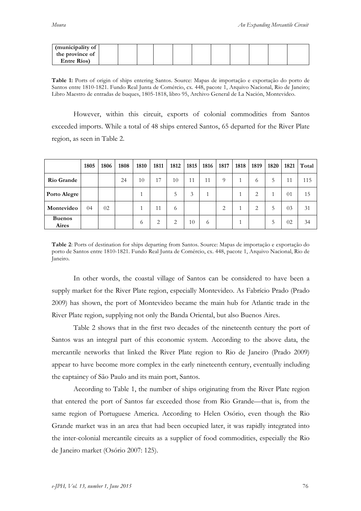| (municipality of |  |  |  |  |  |  |
|------------------|--|--|--|--|--|--|
| the province of  |  |  |  |  |  |  |
| Entre Ríos)      |  |  |  |  |  |  |

**Table 1:** Ports of origin of ships entering Santos. Source: Mapas de importação e exportação do porto de Santos entre 1810-1821. Fundo Real Junta de Comércio, cx. 448, pacote 1, Arquivo Nacional, Rio de Janeiro; Libro Maestro de entradas de buques, 1805-1818, libro 95, Archivo General de La Nación, Montevideo.

However, within this circuit, exports of colonial commodities from Santos exceeded imports. While a total of 48 ships entered Santos, 65 departed for the River Plate region, as seen in Table 2.

|                        | 1805 | 1806 | 1808 | 1810     | 1811 | 1812   | 1815 | 1816 | 1817 | 1818 | 1819 | 1820 | 1821 | Total |
|------------------------|------|------|------|----------|------|--------|------|------|------|------|------|------|------|-------|
| Rio Grande             |      |      | 24   | 10       | 17   | 10     | 11   | 11   | 9    |      | 6    | 5    | 11   | 115   |
| Porto Alegre           |      |      |      |          |      | 5      | 3    |      |      |      | 2    |      | 01   | 15    |
| Montevideo             | 04   | 02   |      |          | 11   | $^{o}$ |      |      | 2    |      | 2    | 5    | 03   | 31    |
| <b>Buenos</b><br>Aires |      |      |      | $\sigma$ | 2    | 2      | 10   | 6    |      |      |      | 5    | 02   | 34    |

**Table 2**: Ports of destination for ships departing from Santos. Source: Mapas de importação e exportação do porto de Santos entre 1810-1821. Fundo Real Junta de Comércio, cx. 448, pacote 1, Arquivo Nacional, Rio de Janeiro.

In other words, the coastal village of Santos can be considered to have been a supply market for the River Plate region, especially Montevideo. As Fabrício Prado (Prado 2009) has shown, the port of Montevideo became the main hub for Atlantic trade in the River Plate region, supplying not only the Banda Oriental, but also Buenos Aires.

Table 2 shows that in the first two decades of the nineteenth century the port of Santos was an integral part of this economic system. According to the above data, the mercantile networks that linked the River Plate region to Rio de Janeiro (Prado 2009) appear to have become more complex in the early nineteenth century, eventually including the captaincy of São Paulo and its main port, Santos.

According to Table 1, the number of ships originating from the River Plate region that entered the port of Santos far exceeded those from Rio Grande—that is, from the same region of Portuguese America. According to Helen Osório, even though the Rio Grande market was in an area that had been occupied later, it was rapidly integrated into the inter-colonial mercantile circuits as a supplier of food commodities, especially the Rio de Janeiro market (Osório 2007: 125).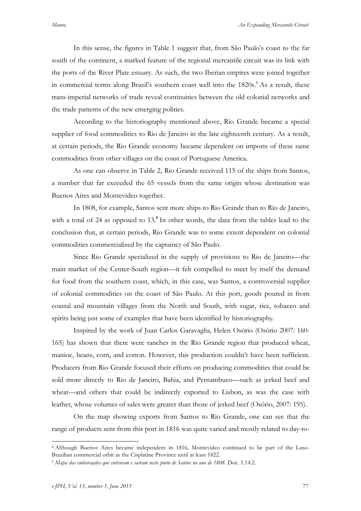In this sense, the figures in Table 1 suggest that, from São Paulo's coast to the far south of the continent, a marked feature of the regional mercantile circuit was its link with the ports of the River Plate estuary. As such, the two Iberian empires were joined together in commercial terms along Brazil's southern coast well into the  $1820s$ .<sup>8</sup> As a result, these trans-imperial networks of trade reveal continuities between the old colonial networks and the trade patterns of the new emerging polities.

According to the historiography mentioned above, Rio Grande became a special supplier of food commodities to Rio de Janeiro in the late eighteenth century. As a result, at certain periods, the Rio Grande economy became dependent on imports of these same commodities from other villages on the coast of Portuguese America.

As one can observe in Table 2, Rio Grande received 115 of the ships from Santos, a number that far exceeded the 65 vessels from the same origin whose destination was Buenos Aires and Montevideo together.

In 1808, for example, Santos sent more ships to Rio Grande than to Rio de Janeiro, with a total of 24 as opposed to 13.<sup>9</sup> In other words, the data from the tables lead to the conclusion that, at certain periods, Rio Grande was to some extent dependent on colonial commodities commercialized by the captaincy of São Paulo.

Since Rio Grande specialized in the supply of provisions to Rio de Janeiro—the main market of the Center-South region—it felt compelled to meet by itself the demand for food from the southern coast, which, in this case, was Santos, a controversial supplier of colonial commodities on the coast of São Paulo. At this port, goods poured in from coastal and mountain villages from the North and South, with sugar, rice, tobacco and spirits being just some of examples that have been identified by historiography.

Inspired by the work of Juan Carlos Garavaglia, Helen Osório (Osório 2007: 160- 165) has shown that there were ranches in the Rio Grande region that produced wheat, manioc, beans, corn, and cotton. However, this production couldn't have been sufficient. Producers from Rio Grande focused their efforts on producing commodities that could be sold more directly to Rio de Janeiro, Bahia, and Pernambuco—such as jerked beef and wheat—and others that could be indirectly exported to Lisbon, as was the case with leather, whose volumes of sales were greater than those of jerked beef (Osório, 2007: 195).

On the map showing exports from Santos to Rio Grande, one can see that the range of products sent from this port in 1816 was quite varied and mostly related to day-to-

 <sup>8</sup> Although Buenos Aires became independent in 1816, Montevideo continued to be part of the Luso-Brazilian commercial orbit as the Cisplatine Province until at least 1822.

<sup>9</sup> *Mapa das embarcações que entraram e saíram neste porto de Santos no ano de 1808*. Doc. 1.14.2.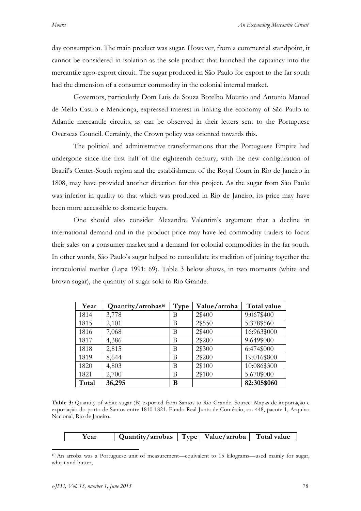day consumption. The main product was sugar. However, from a commercial standpoint, it cannot be considered in isolation as the sole product that launched the captaincy into the mercantile agro-export circuit. The sugar produced in São Paulo for export to the far south had the dimension of a consumer commodity in the colonial internal market.

Governors, particularly Dom Luis de Souza Botelho Mourão and Antonio Manuel de Mello Castro e Mendonça, expressed interest in linking the economy of São Paulo to Atlantic mercantile circuits, as can be observed in their letters sent to the Portuguese Overseas Council. Certainly, the Crown policy was oriented towards this.

The political and administrative transformations that the Portuguese Empire had undergone since the first half of the eighteenth century, with the new configuration of Brazil's Center-South region and the establishment of the Royal Court in Rio de Janeiro in 1808, may have provided another direction for this project. As the sugar from São Paulo was inferior in quality to that which was produced in Rio de Janeiro, its price may have been more accessible to domestic buyers.

One should also consider Alexandre Valentim's argument that a decline in international demand and in the product price may have led commodity traders to focus their sales on a consumer market and a demand for colonial commodities in the far south. In other words, São Paulo's sugar helped to consolidate its tradition of joining together the intracolonial market (Lapa 1991: 69). Table 3 below shows, in two moments (white and brown sugar), the quantity of sugar sold to Rio Grande.

| Year  | Quantity/arrobas <sup>10</sup> | Type | Value/arroba | Total value |
|-------|--------------------------------|------|--------------|-------------|
| 1814  | 3,778                          | В    | 2\$400       | 9:067\$400  |
| 1815  | 2,101                          | B    | 2\$550       | 5:378\$560  |
| 1816  | 7,068                          | В    | 2\$400       | 16:963\$000 |
| 1817  | 4,386                          | B    | 2\$200       | 9:649\$000  |
| 1818  | 2,815                          | В    | 2\$300       | 6:474\$000  |
| 1819  | 8,644                          | B    | 2\$200       | 19:016\$800 |
| 1820  | 4,803                          | B    | 2\$100       | 10:086\$300 |
| 1821  | 2,700                          | B    | 2\$100       | 5:670\$000  |
| Total | 36,295                         | В    |              | 82:305\$060 |

**Table 3:** Quantity of white sugar (B) exported from Santos to Rio Grande. Source: Mapas de importação e exportação do porto de Santos entre 1810-1821. Fundo Real Junta de Comércio, cx. 448, pacote 1, Arquivo Nacional, Rio de Janeiro.

| Year | Quantity/arrobas |  | $\sim$ Type   Value/arroba $\sim$ | Total value |
|------|------------------|--|-----------------------------------|-------------|
|------|------------------|--|-----------------------------------|-------------|

 <sup>10</sup> An arroba was a Portuguese unit of measurement—equivalent to 15 kilograms—used mainly for sugar, wheat and butter,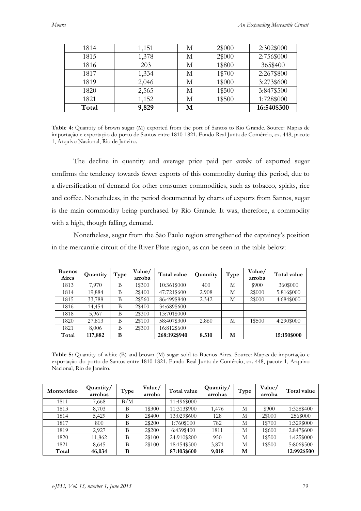| 1814  | 1,151 | М | 2\$000 | 2:302\$000  |
|-------|-------|---|--------|-------------|
| 1815  | 1,378 | М | 2\$000 | 2:756\$000  |
| 1816  | 203   | М | 1\$800 | 365\$400    |
| 1817  | 1,334 | М | 1\$700 | 2:267\$800  |
| 1819  | 2,046 | М | 1\$000 | 3:273\$600  |
| 1820  | 2,565 | М | 1\$500 | 3:847\$500  |
| 1821  | 1,152 | М | 1\$500 | 1:728\$000  |
| Total | 9,829 | М |        | 16:540\$300 |

**Table 4:** Quantity of brown sugar (M) exported from the port of Santos to Rio Grande. Source: Mapas de importação e exportação do porto de Santos entre 1810-1821. Fundo Real Junta de Comércio, cx. 448, pacote 1, Arquivo Nacional, Rio de Janeiro.

The decline in quantity and average price paid per *arroba* of exported sugar confirms the tendency towards fewer exports of this commodity during this period, due to a diversification of demand for other consumer commodities, such as tobacco, spirits, rice and coffee. Nonetheless, in the period documented by charts of exports from Santos, sugar is the main commodity being purchased by Rio Grande. It was, therefore, a commodity with a high, though falling, demand.

Nonetheless, sugar from the São Paulo region strengthened the captaincy's position in the mercantile circuit of the River Plate region, as can be seen in the table below:

| <b>Buenos</b><br>Aires | Quantity | Type | Value/<br>arroba | Total value  | Quantity | Type | Value/<br>arroba | Total value |
|------------------------|----------|------|------------------|--------------|----------|------|------------------|-------------|
| 1813                   | 7.970    | B    | 1\$300           | 10:361\$000  | 400      | M    | \$900            | 360\$000    |
| 1814                   | 19,884   | B    | 2\$400           | 47:721\$600  | 2.908    | М    | 2\$000           | 5:816\$000  |
| 1815                   | 33,788   | B    | 2\$560           | 86:499\$840  | 2.342    | М    | 2\$000           | 4:684\$000  |
| 1816                   | 14,454   | B    | 2\$400           | 34:689\$600  |          |      |                  |             |
| 1818                   | 5,967    | B    | 2\$300           | 13:701\$000  |          |      |                  |             |
| 1820                   | 27,813   | B    | 2\$100           | 58:407\$300  | 2.860    | М    | 1\$500           | 4:290\$000  |
| 1821                   | 8,006    | B    | 2\$300           | 16:812\$600  |          |      |                  |             |
| Total                  | 117,882  | B    |                  | 268:192\$940 | 8.510    | М    |                  | 15:150\$000 |

**Table 5:** Quantity of white (B) and brown (M) sugar sold to Buenos Aires. Source: Mapas de importação e exportação do porto de Santos entre 1810-1821. Fundo Real Junta de Comércio, cx. 448, pacote 1, Arquivo Nacional, Rio de Janeiro.

| Montevideo | Quantity/<br>arrobas | Type | Value/<br>arroba | Total value | Quantity/<br>arrobas | Type | Value/<br>arroba | Total value |
|------------|----------------------|------|------------------|-------------|----------------------|------|------------------|-------------|
| 1811       | 7,668                | B/M  |                  | 11:496\$000 |                      |      |                  |             |
| 1813       | 8,703                | В    | 1\$300           | 11:313\$900 | 1,476                | М    | \$900            | 1:328\$400  |
| 1814       | 5,429                | B    | 2\$400           | 13:029\$600 | 128                  | М    | 2\$000           | 256\$000    |
| 1817       | 800                  | B    | 2\$200           | 1:760\$000  | 782                  | М    | 1\$700           | 1:329\$000  |
| 1819       | 2.927                | B    | 2\$200           | 6:439\$400  | 1811                 | М    | 1\$600           | 2:847\$600  |
| 1820       | 11,862               | B    | 2\$100           | 24:910\$200 | 950                  | М    | 1\$500           | 1:425\$000  |
| 1821       | 8,645                | B    | 2\$100           | 18:154\$500 | 3,871                | M    | 1\$500           | 5:806\$500  |
| Total      | 46,034               | B    |                  | 87:103\$600 | 9,018                | M    |                  | 12:992\$500 |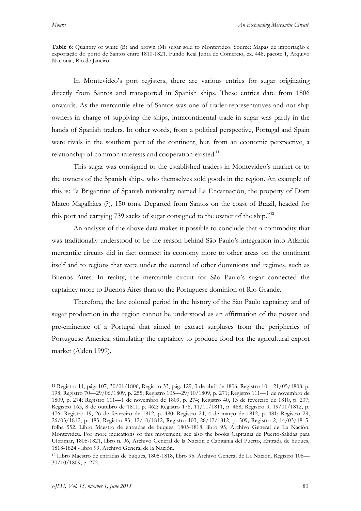**Table 6**: Quantity of white (B) and brown (M) sugar sold to Montevideo. Source: Mapas de importação e exportação do porto de Santos entre 1810-1821. Fundo Real Junta de Comércio, cx. 448, pacote 1, Arquivo Nacional, Rio de Janeiro.

In Montevideo's port registers, there are various entries for sugar originating directly from Santos and transported in Spanish ships. These entries date from 1806 onwards. As the mercantile elite of Santos was one of trader-representatives and not ship owners in charge of supplying the ships, intracontinental trade in sugar was partly in the hands of Spanish traders. In other words, from a political perspective, Portugal and Spain were rivals in the southern part of the continent, but, from an economic perspective, a relationship of common interests and cooperation existed.**<sup>11</sup>**

This sugar was consigned to the established traders in Montevideo's market or to the owners of the Spanish ships, who themselves sold goods in the region. An example of this is: "a Brigantine of Spanish nationality named La Encarnación, the property of Dom Mateo Magalhães (?), 150 tons. Departed from Santos on the coast of Brazil, headed for this port and carrying 739 sacks of sugar consigned to the owner of the ship."**<sup>12</sup>**

An analysis of the above data makes it possible to conclude that a commodity that was traditionally understood to be the reason behind São Paulo's integration into Atlantic mercantile circuits did in fact connect its economy more to other areas on the continent itself and to regions that were under the control of other dominions and regimes, such as Buenos Aires. In reality, the mercantile circuit for São Paulo's sugar connected the captaincy more to Buenos Aires than to the Portuguese dominion of Rio Grande.

Therefore, the late colonial period in the history of the São Paulo captaincy and of sugar production in the region cannot be understood as an affirmation of the power and pre-eminence of a Portugal that aimed to extract surpluses from the peripheries of Portuguese America, stimulating the captaincy to produce food for the agricultural export market (Alden 1999).

 <sup>11</sup> Registro 11, pág. 107, 30/01/1806; Registro 33, pág. 129, 3 de abril de 1806; Registro 10—21/05/1808, p. 198; Registro 70—29/06/1809, p. 255; Registro 105—29/10/1809, p. 271; Registro 111—1 de novembro de 1809, p. 274; Registro 111—1 de novembro de 1809, p. 274; Registro 40, 13 de fevereiro de 1810, p. 207; Registro 163, 8 de outubro de 1811, p. 462; Registro 176, 11/11/1811, p. 468; Registro 9, 19/01/1812, p. 476; Registro 19, 26 de fevereiro de 1812, p. 480; Registro 24, 4 de março de 1812, p. 481; Registro 29, 26/03/1812, p. 483; Registro 83, 12/10/1812; Registro 103, 28/12/1812, p. 509; Registro 2, 14/03/1815, folha 552. Libro Maestro de entradas de buques, 1805-1818, libro 95, Archivo General de La Nación, Montevideu. For more indications of this movement, see also the books Capitania de Puerto-Salidas para Ultramar, 1805-1821, libro n. 96, Archivo General de la Nación e Capitania del Puerto, Entrada de buques, 1818-1824 - libro 99, Archivo General de la Nación.

<sup>12</sup> Libro Maestro de entradas de buques, 1805-1818, libro 95. Archivo General de La Nación. Registro 108— 30/10/1809, p. 272.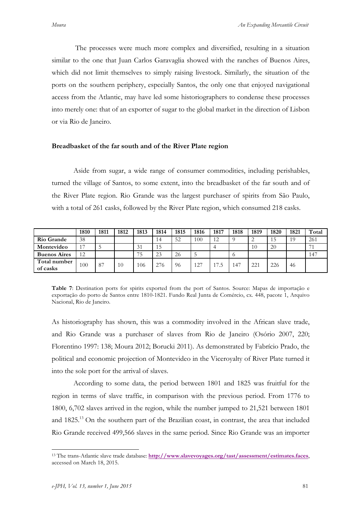The processes were much more complex and diversified, resulting in a situation similar to the one that Juan Carlos Garavaglia showed with the ranches of Buenos Aires, which did not limit themselves to simply raising livestock. Similarly, the situation of the ports on the southern periphery, especially Santos, the only one that enjoyed navigational access from the Atlantic, may have led some historiographers to condense these processes into merely one: that of an exporter of sugar to the global market in the direction of Lisbon or via Rio de Janeiro.

### **Breadbasket of the far south and of the River Plate region**

Aside from sugar, a wide range of consumer commodities, including perishables, turned the village of Santos, to some extent, into the breadbasket of the far south and of the River Plate region. Rio Grande was the largest purchaser of spirits from São Paulo, with a total of 261 casks, followed by the River Plate region, which consumed 218 casks.

|                          | 1810 | 1811 | 1812 | 1813 | 1814 | 1815 | 1816 | 1817 | 1818 | 1819 | 1820 | 1821 | Total |
|--------------------------|------|------|------|------|------|------|------|------|------|------|------|------|-------|
| <b>Rio Grande</b>        | 38   |      |      |      | 14   | 52   | 100  | 12   |      |      | 15   | 19   | 261   |
| Montevideo               | 17   |      |      | 31   | 15   |      |      |      |      | 10   | 20   |      | 74    |
| <b>Buenos Aires</b>      | 12   |      |      | 75   | 23   | 26   |      |      |      |      |      |      | 147   |
| Total number<br>of casks | 100  | -87  | 10   | 106  | 276  | -96  | 127  | 17.5 | 147  | 221  | 226  | 46   |       |

**Table 7**: Destination ports for spirits exported from the port of Santos. Source: Mapas de importação e exportação do porto de Santos entre 1810-1821. Fundo Real Junta de Comércio, cx. 448, pacote 1, Arquivo Nacional, Rio de Janeiro.

As historiography has shown, this was a commodity involved in the African slave trade, and Rio Grande was a purchaser of slaves from Rio de Janeiro (Osório 2007, 220; Florentino 1997: 138; Moura 2012; Borucki 2011). As demonstrated by Fabrício Prado, the political and economic projection of Montevideo in the Viceroyalty of River Plate turned it into the sole port for the arrival of slaves.

According to some data, the period between 1801 and 1825 was fruitful for the region in terms of slave traffic, in comparison with the previous period. From 1776 to 1800, 6,702 slaves arrived in the region, while the number jumped to 21,521 between 1801 and  $1825<sup>13</sup>$  On the southern part of the Brazilian coast, in contrast, the area that included Rio Grande received 499,566 slaves in the same period. Since Rio Grande was an importer

 <sup>13</sup> The trans-Atlantic slave trade database: **http://www.slavevoyages.org/tast/assessment/estimates.faces**, accessed on March 18, 2015.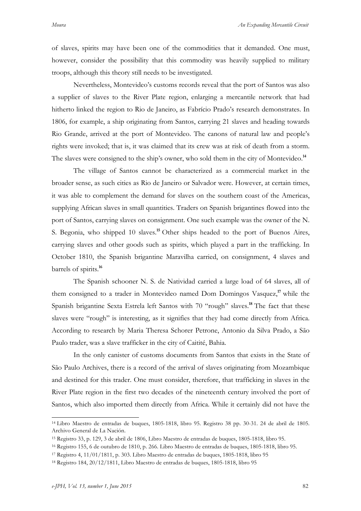of slaves, spirits may have been one of the commodities that it demanded. One must, however, consider the possibility that this commodity was heavily supplied to military troops, although this theory still needs to be investigated.

Nevertheless, Montevideo's customs records reveal that the port of Santos was also a supplier of slaves to the River Plate region, enlarging a mercantile network that had hitherto linked the region to Rio de Janeiro, as Fabrício Prado's research demonstrates. In 1806, for example, a ship originating from Santos, carrying 21 slaves and heading towards Rio Grande, arrived at the port of Montevideo. The canons of natural law and people's rights were invoked; that is, it was claimed that its crew was at risk of death from a storm. The slaves were consigned to the ship's owner, who sold them in the city of Montevideo.**<sup>14</sup>**

The village of Santos cannot be characterized as a commercial market in the broader sense, as such cities as Rio de Janeiro or Salvador were. However, at certain times, it was able to complement the demand for slaves on the southern coast of the Americas, supplying African slaves in small quantities. Traders on Spanish brigantines flowed into the port of Santos, carrying slaves on consignment. One such example was the owner of the N. S. Begonia, who shipped 10 slaves.**<sup>15</sup>** Other ships headed to the port of Buenos Aires, carrying slaves and other goods such as spirits, which played a part in the trafficking. In October 1810, the Spanish brigantine Maravilha carried, on consignment, 4 slaves and barrels of spirits.**<sup>16</sup>**

The Spanish schooner N. S. de Natividad carried a large load of 64 slaves, all of them consigned to a trader in Montevideo named Dom Domingos Vasquez,**<sup>17</sup>** while the Spanish brigantine Sexta Estrela left Santos with 70 "rough" slaves.**<sup>18</sup>** The fact that these slaves were "rough" is interesting, as it signifies that they had come directly from Africa. According to research by Maria Theresa Schorer Petrone, Antonio da Silva Prado, a São Paulo trader, was a slave trafficker in the city of Caitité, Bahia.

In the only canister of customs documents from Santos that exists in the State of São Paulo Archives, there is a record of the arrival of slaves originating from Mozambique and destined for this trader. One must consider, therefore, that trafficking in slaves in the River Plate region in the first two decades of the nineteenth century involved the port of Santos, which also imported them directly from Africa. While it certainly did not have the

 <sup>14</sup> Libro Maestro de entradas de buques, 1805-1818, libro 95. Registro 38 pp. 30-31. 24 de abril de 1805. Archivo General de La Nación.

<sup>15</sup> Registro 33, p. 129, 3 de abril de 1806, Libro Maestro de entradas de buques, 1805-1818, libro 95.

<sup>16</sup> Registro 155, 6 de outubro de 1810, p. 266. Libro Maestro de entradas de buques, 1805-1818, libro 95.

<sup>17</sup> Registro 4, 11/01/1811, p. 303. Libro Maestro de entradas de buques, 1805-1818, libro 95

<sup>18</sup> Registro 184, 20/12/1811, Libro Maestro de entradas de buques, 1805-1818, libro 95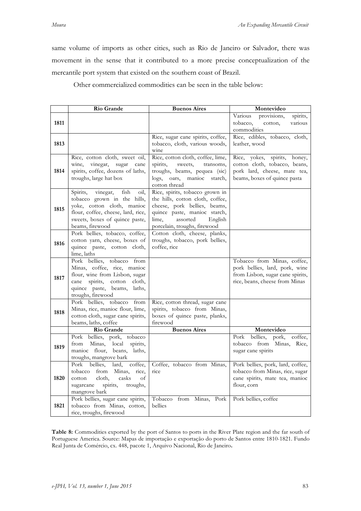same volume of imports as other cities, such as Rio de Janeiro or Salvador, there was movement in the sense that it contributed to a more precise conceptualization of the mercantile port system that existed on the southern coast of Brazil.

Other commercialized commodities can be seen in the table below:

|      | Rio Grande                                                              | <b>Buenos Aires</b>                                              | Montevideo                                                           |
|------|-------------------------------------------------------------------------|------------------------------------------------------------------|----------------------------------------------------------------------|
| 1811 |                                                                         |                                                                  | Various<br>provisions,<br>spirits,<br>various<br>tobacco,<br>cotton, |
|      |                                                                         |                                                                  | commodities                                                          |
|      |                                                                         | Rice, sugar cane spirits, coffee,                                | Rice, edibles, tobacco, cloth,                                       |
| 1813 |                                                                         | tobacco, cloth, various woods,<br>wine                           | leather, wood                                                        |
|      | Rice, cotton cloth, sweet oil,                                          | Rice, cotton cloth, coffee, lime,                                | Rice, yokes, spirits, honey,                                         |
| 1814 | wine,<br>vinegar,<br>sugar<br>cane<br>spirits, coffee, dozens of laths, | spirits,<br>sweets,<br>transoms,<br>troughs, beams, pequea (sic) | cotton cloth, tobacco, beans,<br>pork lard, cheese, mate tea,        |
|      | troughs, large hat box                                                  | manioc starch,<br>logs, oars,<br>cotton thread                   | beams, boxes of quince pasta                                         |
|      | Spirits,<br>fish<br>vinegar,<br>oil,                                    | Rice, spirits, tobacco grown in                                  |                                                                      |
|      | tobacco grown in the hills,<br>yoke, cotton cloth, manioc               | the hills, cotton cloth, coffee,<br>cheese, pork bellies, beams, |                                                                      |
| 1815 | flour, coffee, cheese, lard, rice,                                      | quince paste, manioc starch,                                     |                                                                      |
|      | sweets, boxes of quince paste,                                          | lime.<br>assorted<br>English                                     |                                                                      |
|      | beams, firewood<br>Pork bellies, tobacco, coffee,                       | porcelain, troughs, firewood<br>Cotton cloth, cheese, planks,    |                                                                      |
|      | cotton yarn, cheese, boxes of                                           | troughs, tobacco, pork bellies,                                  |                                                                      |
| 1816 | quince paste, cotton cloth,                                             | coffee, rice                                                     |                                                                      |
|      | lime, laths<br>Pork bellies, tobacco<br>from                            |                                                                  | Tobacco from Minas, coffee,                                          |
|      | Minas, coffee, rice, manioc                                             |                                                                  | pork bellies, lard, pork, wine                                       |
| 1817 | flour, wine from Lisbon, sugar                                          |                                                                  | from Lisbon, sugar cane spirits,                                     |
|      | cane spirits, cotton<br>cloth,                                          |                                                                  | rice, beans, cheese from Minas                                       |
|      | quince paste, beams,<br>laths,<br>troughs, firewood                     |                                                                  |                                                                      |
|      | Pork bellies, tobacco<br>from                                           | Rice, cotton thread, sugar cane                                  |                                                                      |
| 1818 | Minas, rice, manioc flour, lime,                                        | spirits, tobacco from Minas,                                     |                                                                      |
|      | cotton cloth, sugar cane spirits,<br>beams, laths, coffee               | boxes of quince paste, planks,<br>firewood                       |                                                                      |
|      | Rio Grande                                                              | <b>Buenos Aires</b>                                              | Montevideo                                                           |
|      | Pork bellies, pork, tobacco                                             |                                                                  | bellies,<br>pork,<br>coffee,<br>Pork                                 |
| 1819 | local<br>spirits,<br>Minas,<br>from                                     |                                                                  | tobacco from Minas,<br>Rice,                                         |
|      | manioc flour, beans,<br>laths,                                          |                                                                  | sugar cane spirits                                                   |
|      | troughs, mangrove bark<br>Pork<br>bellies,<br>coffee,<br>lard,          | Coffee, tobacco from Minas,                                      | Pork bellies, pork, lard, coffee,                                    |
|      | from<br>tobacco<br>Minas,<br>rice,                                      | rice                                                             | tobacco from Minas, rice, sugar                                      |
| 1820 | cloth,<br>casks<br>of<br>cotton                                         |                                                                  | cane spirits, mate tea, manioc                                       |
|      | spirits,<br>sugarcane<br>troughs,<br>mangrove bark                      |                                                                  | flour, corn                                                          |
|      | Pork bellies, sugar cane spirits,                                       | Tobacco<br>from Minas, Pork                                      | Pork bellies, coffee                                                 |
| 1821 | tobacco from Minas, cotton,                                             | bellies                                                          |                                                                      |
|      | rice, troughs, firewood                                                 |                                                                  |                                                                      |

**Table 8:** Commodities exported by the port of Santos to ports in the River Plate region and the far south of Portuguese America. Source: Mapas de importação e exportação do porto de Santos entre 1810-1821. Fundo Real Junta de Comércio, cx. 448, pacote 1, Arquivo Nacional, Rio de Janeiro**.**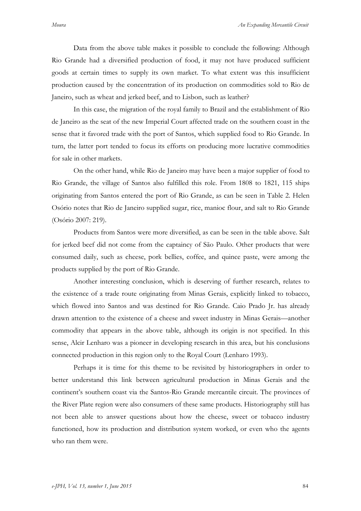Data from the above table makes it possible to conclude the following: Although Rio Grande had a diversified production of food, it may not have produced sufficient goods at certain times to supply its own market. To what extent was this insufficient production caused by the concentration of its production on commodities sold to Rio de Janeiro, such as wheat and jerked beef, and to Lisbon, such as leather?

In this case, the migration of the royal family to Brazil and the establishment of Rio de Janeiro as the seat of the new Imperial Court affected trade on the southern coast in the sense that it favored trade with the port of Santos, which supplied food to Rio Grande. In turn, the latter port tended to focus its efforts on producing more lucrative commodities for sale in other markets.

On the other hand, while Rio de Janeiro may have been a major supplier of food to Rio Grande, the village of Santos also fulfilled this role. From 1808 to 1821, 115 ships originating from Santos entered the port of Rio Grande, as can be seen in Table 2. Helen Osório notes that Rio de Janeiro supplied sugar, rice, manioc flour, and salt to Rio Grande (Osório 2007: 219).

Products from Santos were more diversified, as can be seen in the table above. Salt for jerked beef did not come from the captaincy of São Paulo. Other products that were consumed daily, such as cheese, pork bellies, coffee, and quince paste, were among the products supplied by the port of Rio Grande.

Another interesting conclusion, which is deserving of further research, relates to the existence of a trade route originating from Minas Gerais, explicitly linked to tobacco, which flowed into Santos and was destined for Rio Grande. Caio Prado Jr. has already drawn attention to the existence of a cheese and sweet industry in Minas Gerais—another commodity that appears in the above table, although its origin is not specified. In this sense, Alcir Lenharo was a pioneer in developing research in this area, but his conclusions connected production in this region only to the Royal Court (Lenharo 1993).

Perhaps it is time for this theme to be revisited by historiographers in order to better understand this link between agricultural production in Minas Gerais and the continent's southern coast via the Santos-Rio Grande mercantile circuit. The provinces of the River Plate region were also consumers of these same products. Historiography still has not been able to answer questions about how the cheese, sweet or tobacco industry functioned, how its production and distribution system worked, or even who the agents who ran them were.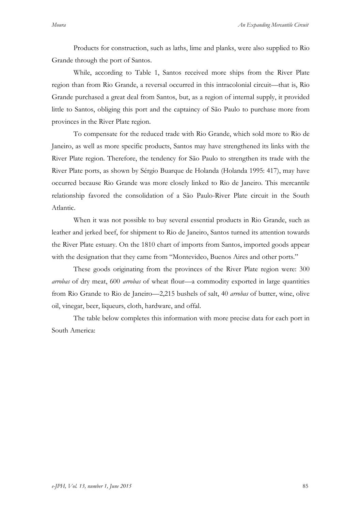Products for construction, such as laths, lime and planks, were also supplied to Rio Grande through the port of Santos.

While, according to Table 1, Santos received more ships from the River Plate region than from Rio Grande, a reversal occurred in this intracolonial circuit—that is, Rio Grande purchased a great deal from Santos, but, as a region of internal supply, it provided little to Santos, obliging this port and the captaincy of São Paulo to purchase more from provinces in the River Plate region.

To compensate for the reduced trade with Rio Grande, which sold more to Rio de Janeiro, as well as more specific products, Santos may have strengthened its links with the River Plate region. Therefore, the tendency for São Paulo to strengthen its trade with the River Plate ports, as shown by Sérgio Buarque de Holanda (Holanda 1995: 417), may have occurred because Rio Grande was more closely linked to Rio de Janeiro. This mercantile relationship favored the consolidation of a São Paulo-River Plate circuit in the South Atlantic.

When it was not possible to buy several essential products in Rio Grande, such as leather and jerked beef, for shipment to Rio de Janeiro, Santos turned its attention towards the River Plate estuary. On the 1810 chart of imports from Santos, imported goods appear with the designation that they came from "Montevideo, Buenos Aires and other ports."

These goods originating from the provinces of the River Plate region were: 300 *arrobas* of dry meat, 600 *arrobas* of wheat flour—a commodity exported in large quantities from Rio Grande to Rio de Janeiro—2,215 bushels of salt, 40 *arrobas* of butter, wine, olive oil, vinegar, beer, liqueurs, cloth, hardware, and offal.

The table below completes this information with more precise data for each port in South America: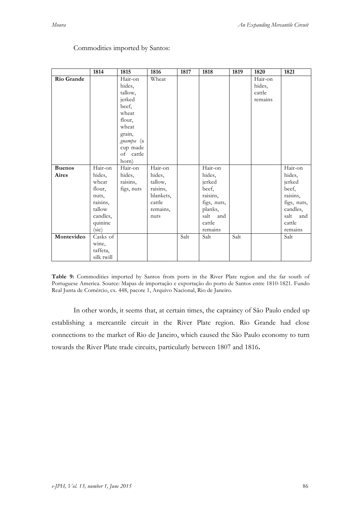|               | 1814       | 1815       | 1816      | 1817 | 1818        | 1819 | 1820    | 1821        |
|---------------|------------|------------|-----------|------|-------------|------|---------|-------------|
| Rio Grande    |            | Hair-on    | Wheat     |      |             |      | Hair-on |             |
|               |            | hides,     |           |      |             |      | hides,  |             |
|               |            | tallow,    |           |      |             |      | cattle  |             |
|               |            | jerked     |           |      |             |      | remains |             |
|               |            | beef,      |           |      |             |      |         |             |
|               |            | wheat      |           |      |             |      |         |             |
|               |            | flour,     |           |      |             |      |         |             |
|               |            | wheat      |           |      |             |      |         |             |
|               |            | grain,     |           |      |             |      |         |             |
|               |            | guampa (a  |           |      |             |      |         |             |
|               |            | cup made   |           |      |             |      |         |             |
|               |            | of cattle  |           |      |             |      |         |             |
|               |            | horn)      |           |      |             |      |         |             |
| <b>Buenos</b> | Hair-on    | Hair-on    | Hair-on   |      | Hair-on     |      |         | Hair-on     |
| Aires         | hides,     | hides,     | hides,    |      | hides,      |      |         | hides,      |
|               | wheat      | raisins,   | tallow,   |      | jerked      |      |         | jerked      |
|               | flour,     | figs, nuts | raisins,  |      | beef,       |      |         | beef,       |
|               | nuts,      |            | blankets, |      | raisins,    |      |         | raisins,    |
|               | raisins,   |            | cattle    |      | figs, nuts, |      |         | figs, nuts, |
|               | tallow     |            | remains,  |      | planks,     |      |         | candles,    |
|               | candles,   |            | nuts      |      | salt<br>and |      |         | salt<br>and |
|               | quinine    |            |           |      | cattle      |      |         | cattle      |
|               | (sic)      |            |           |      | remains     |      |         | remains     |
| Montevideo    | Casks of   |            |           | Salt | Salt        | Salt |         | Salt        |
|               | wine,      |            |           |      |             |      |         |             |
|               | taffeta,   |            |           |      |             |      |         |             |
|               | silk twill |            |           |      |             |      |         |             |

## Commodities imported by Santos:

**Table 9:** Commodities imported by Santos from ports in the River Plate region and the far south of Portuguese America. Source: Mapas de importação e exportação do porto de Santos entre 1810-1821. Fundo Real Junta de Comércio, cx. 448, pacote 1, Arquivo Nacional, Rio de Janeiro.

In other words, it seems that, at certain times, the captaincy of São Paulo ended up establishing a mercantile circuit in the River Plate region. Rio Grande had close connections to the market of Rio de Janeiro, which caused the São Paulo economy to turn towards the River Plate trade circuits, particularly between 1807 and 1816**.**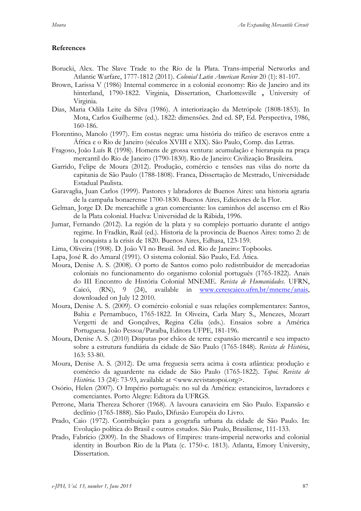## **References**

- Borucki, Alex. The Slave Trade to the Río de la Plata. Trans-imperial Networks and Atlantic Warfare, 1777-1812 (2011). *Colonial Latin American Review* 20 (1): 81-107.
- Brown, Larissa V (1986) Internal commerce in a colonial economy: Rio de Janeiro and its hinterland, 1790-1822. Virginia, Dissertation, Charlottesville **,** University of Virginia.
- Dias, Maria Odila Leite da Silva (1986). A interiorização da Metrópole (1808-1853). In Mota, Carlos Guilherme (ed.). 1822: dimensões. 2nd ed. SP, Ed. Perspectiva, 1986, 160-186.
- Florentino, Manolo (1997). Em costas negras: uma história do tráfico de escravos entre a África e o Rio de Janeiro (séculos XVIII e XIX). São Paulo, Comp. das Letras.
- Fragoso, João Luís R (1998). Homens de grossa ventura: acumulação e hierarquia na praça mercantil do Rio de Janeiro (1790-1830). Rio de Janeiro: Civilização Brasileira.
- Garrido, Felipe de Moura (2012). Produção, comércio e tensões nas vilas do norte da capitania de São Paulo (1788-1808). Franca, Dissertação de Mestrado, Universidade Estadual Paulista.
- Garavaglia, Juan Carlos (1999). Pastores y labradores de Buenos Aires: una historia agraria de la campaña bonaerense 1700-1830. Buenos Aires, Ediciones de la Flor.
- Gelman, Jorge D. De mercachifle a gran comerciante: los caminhos del ascenso em el Rio de la Plata colonial. Huelva: Universidad de la Rábida, 1996.
- Jumar, Fernando (2012). La región de la plata y su complejo portuario durante el antigo regime. In Fradkin, Raúl (ed.). Historia de la provincia de Buenos Aires: tomo 2: de la conquista a la crisis de 1820. Buenos Aires, Edhasa, 123-159.
- Lima, Oliveira (1908). D. João VI no Brasil. 3rd ed. Rio de Janeiro: Topbooks.
- Lapa, José R. do Amaral (1991). O sistema colonial. São Paulo, Ed. Ática.
- Moura, Denise A. S. (2008). O porto de Santos como polo redistribuidor de mercadorias coloniais no funcionamento do organismo colonial português (1765-1822). Anais do III Encontro de História Colonial MNEME. *Revista de Humanidades.* UFRN, Caicó, (RN), 9 (24), available in www.cerescaico.ufrn.br/mneme/anais, downloaded on July 12 2010.
- Moura, Denise A. S. (2009). O comércio colonial e suas relações complementares: Santos, Bahia e Pernambuco, 1765-1822. In Oliveira, Carla Mary S., Menezes, Mozart Vergetti de and Gonçalves, Regina Célia (eds.). Ensaios sobre a América Portuguesa*.* João Pessoa/Paraíba, Editora UFPE, 181-196.
- Moura, Denise A. S. (2010) Disputas por chãos de terra: expansão mercantil e seu impacto sobre a estrutura fundiária da cidade de São Paulo (1765-1848). *Revista de História*, 163: 53-80.
- Moura, Denise A. S. (2012). De uma freguesia serra acima à costa atlântica: produção e comércio da aguardente na cidade de São Paulo (1765-1822). *Topoi. Revista de História.* 13 (24): 73-93, available at <www.revistatopoi.org>.
- Osório, Helen (2007). O Império português: no sul da América: estancieiros, lavradores e comerciantes. Porto Alegre: Editora da UFRGS.
- Petrone, Maria Thereza Schorer (1968). A lavoura canavieira em São Paulo. Expansão e declínio (1765-1888). São Paulo, Difusão Européia do Livro.
- Prado, Caio (1972). Contribuição para a geografia urbana da cidade de São Paulo. In: Evolução política do Brasil e outros estudos. São Paulo, Brasiliense, 111-133.
- Prado, Fabrício (2009). In the Shadows of Empires: trans-imperial networks and colonial identity in Bourbon Rio de la Plata (c. 1750-c. 1813). Atlanta, Emory University, Dissertation.